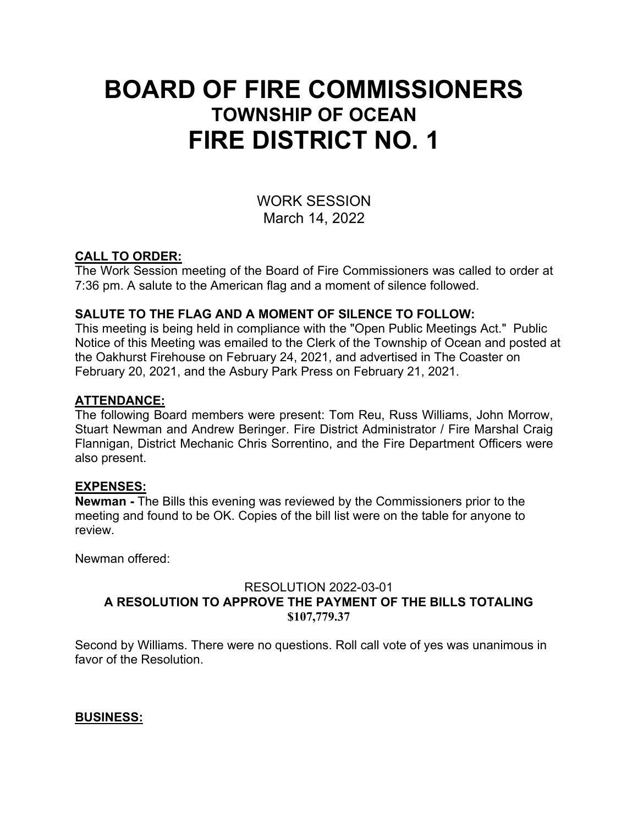# **BOARD OF FIRE COMMISSIONERS TOWNSHIP OF OCEAN FIRE DISTRICT NO. 1**

WORK SESSION March 14, 2022

# **CALL TO ORDER:**

The Work Session meeting of the Board of Fire Commissioners was called to order at 7:36 pm. A salute to the American flag and a moment of silence followed.

# **SALUTE TO THE FLAG AND A MOMENT OF SILENCE TO FOLLOW:**

This meeting is being held in compliance with the "Open Public Meetings Act." Public Notice of this Meeting was emailed to the Clerk of the Township of Ocean and posted at the Oakhurst Firehouse on February 24, 2021, and advertised in The Coaster on February 20, 2021, and the Asbury Park Press on February 21, 2021.

#### **ATTENDANCE:**

The following Board members were present: Tom Reu, Russ Williams, John Morrow, Stuart Newman and Andrew Beringer. Fire District Administrator / Fire Marshal Craig Flannigan, District Mechanic Chris Sorrentino, and the Fire Department Officers were also present.

#### **EXPENSES:**

**Newman -** The Bills this evening was reviewed by the Commissioners prior to the meeting and found to be OK. Copies of the bill list were on the table for anyone to review.

Newman offered:

## RESOLUTION 2022-03-01 **A RESOLUTION TO APPROVE THE PAYMENT OF THE BILLS TOTALING \$107,779.37**

Second by Williams. There were no questions. Roll call vote of yes was unanimous in favor of the Resolution.

#### **BUSINESS:**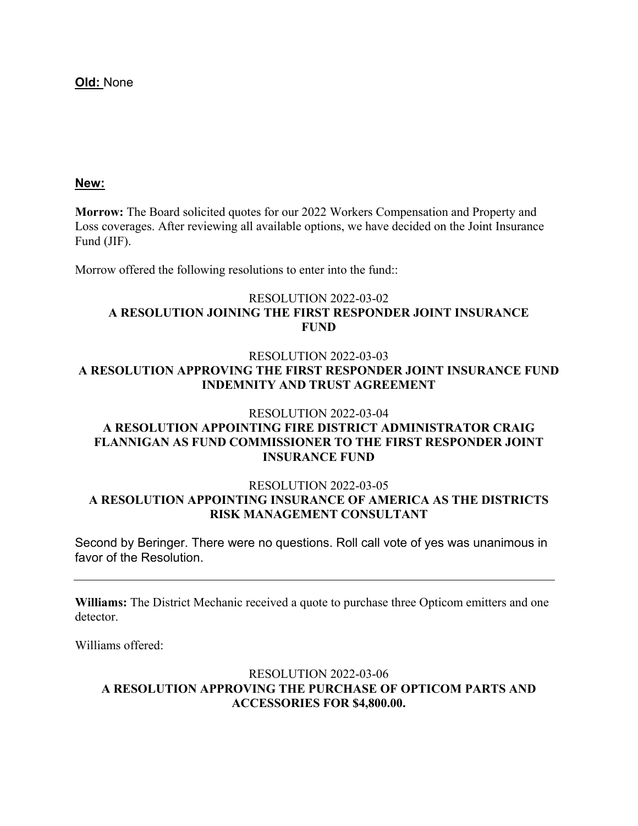**Old:** None

#### **New:**

**Morrow:** The Board solicited quotes for our 2022 Workers Compensation and Property and Loss coverages. After reviewing all available options, we have decided on the Joint Insurance Fund (JIF).

Morrow offered the following resolutions to enter into the fund::

#### RESOLUTION 2022-03-02 **A RESOLUTION JOINING THE FIRST RESPONDER JOINT INSURANCE FUND**

#### RESOLUTION 2022-03-03 **A RESOLUTION APPROVING THE FIRST RESPONDER JOINT INSURANCE FUND INDEMNITY AND TRUST AGREEMENT**

#### RESOLUTION 2022-03-04

#### **A RESOLUTION APPOINTING FIRE DISTRICT ADMINISTRATOR CRAIG FLANNIGAN AS FUND COMMISSIONER TO THE FIRST RESPONDER JOINT INSURANCE FUND**

#### RESOLUTION 2022-03-05 **A RESOLUTION APPOINTING INSURANCE OF AMERICA AS THE DISTRICTS RISK MANAGEMENT CONSULTANT**

Second by Beringer. There were no questions. Roll call vote of yes was unanimous in favor of the Resolution.

**Williams:** The District Mechanic received a quote to purchase three Opticom emitters and one detector.

Williams offered:

#### RESOLUTION 2022-03-06 **A RESOLUTION APPROVING THE PURCHASE OF OPTICOM PARTS AND ACCESSORIES FOR \$4,800.00.**